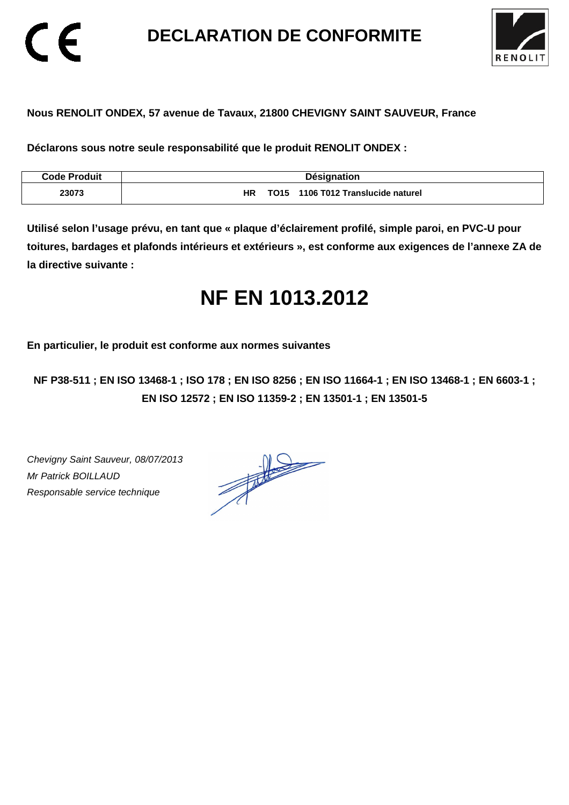**DECLARATION DE CONFORMITE** 



### **Nous RENOLIT ONDEX, 57 avenue de Tavaux, 21800 CHEVIGNY SAINT SAUVEUR, France**

**Déclarons sous notre seule responsabilité que le produit RENOLIT ONDEX :** 

| <b>Code Produit</b> | <b>Désignation</b>                                 |
|---------------------|----------------------------------------------------|
| 23073               | HR<br>1106 T012 Translucide naturel<br><b>TO15</b> |

**Utilisé selon l'usage prévu, en tant que « plaque d'éclairement profilé, simple paroi, en PVC-U pour toitures, bardages et plafonds intérieurs et extérieurs », est conforme aux exigences de l'annexe ZA de la directive suivante :** 

# **NF EN 1013.2012**

**En particulier, le produit est conforme aux normes suivantes** 

**NF P38-511 ; EN ISO 13468-1 ; ISO 178 ; EN ISO 8256 ; EN ISO 11664-1 ; EN ISO 13468-1 ; EN 6603-1 ; EN ISO 12572 ; EN ISO 11359-2 ; EN 13501-1 ; EN 13501-5**

Chevigny Saint Sauveur, 08/07/2013 Mr Patrick BOILLAUD Responsable service technique

 $\epsilon$ 

 $\frac{1}{\sqrt{2}}$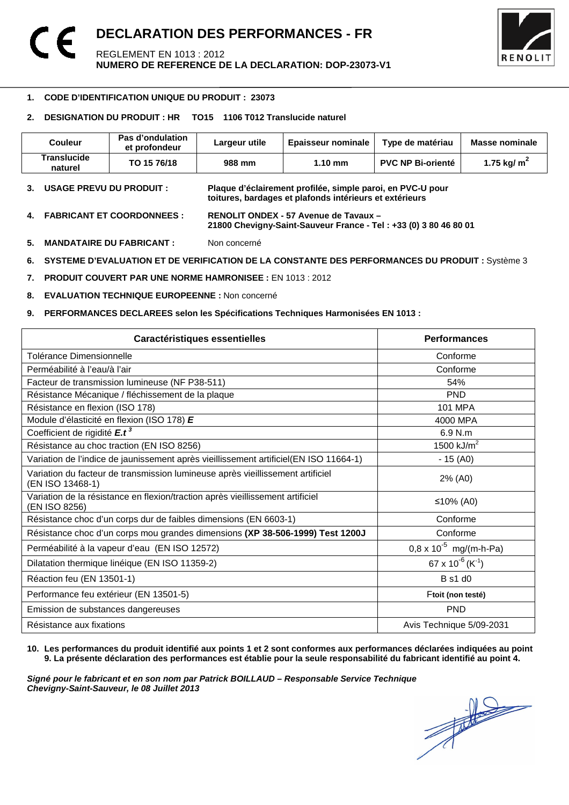

#### -**1. CODE D'IDENTIFICATION UNIQUE DU PRODUIT : 23073**

#### **2. DESIGNATION DU PRODUIT : HR TO15 1106 T012 Translucide naturel**

| <b>Couleur</b>                | Pas d'ondulation<br>et profondeur | Largeur utile | <b>Epaisseur nominale</b> | Type de matériau         | Masse nominale |
|-------------------------------|-----------------------------------|---------------|---------------------------|--------------------------|----------------|
| <b>Translucide</b><br>naturel | TO 15 76/18                       | 988 mm        | $1.10 \text{ mm}$         | <b>PVC NP Bi-orienté</b> | 1.75 kg/ $m2$  |

- **3. USAGE PREVU DU PRODUIT : Plaque d'éclairement profilée, simple paroi, en PVC-U pour toitures, bardages et plafonds intérieurs et extérieurs**
- **4. FABRICANT ET COORDONNEES : RENOLIT ONDEX 57 Avenue de Tavaux 21800 Chevigny-Saint-Sauveur France - Tel : +33 (0) 3 80 46 80 01**
- **5. MANDATAIRE DU FABRICANT :** Non concerné
- **6. SYSTEME D'EVALUATION ET DE VERIFICATION DE LA CONSTANTE DES PERFORMANCES DU PRODUIT :** Système 3
- **7. PRODUIT COUVERT PAR UNE NORME HAMRONISEE :** EN 1013 : 2012
- **8. EVALUATION TECHNIQUE EUROPEENNE :** Non concerné
- **9. PERFORMANCES DECLAREES selon les Spécifications Techniques Harmonisées EN 1013 :**

| Caractéristiques essentielles                                                                      | <b>Performances</b>               |
|----------------------------------------------------------------------------------------------------|-----------------------------------|
| Tolérance Dimensionnelle                                                                           | Conforme                          |
| Perméabilité à l'eau/à l'air                                                                       | Conforme                          |
| Facteur de transmission lumineuse (NF P38-511)                                                     | 54%                               |
| Résistance Mécanique / fléchissement de la plaque                                                  | <b>PND</b>                        |
| Résistance en flexion (ISO 178)                                                                    | <b>101 MPA</b>                    |
| Module d'élasticité en flexion (ISO 178) E                                                         | 4000 MPA                          |
| Coefficient de rigidité E.t <sup>3</sup>                                                           | 6.9 N.m                           |
| Résistance au choc traction (EN ISO 8256)                                                          | 1500 $kJ/m2$                      |
| Variation de l'indice de jaunissement après vieillissement artificiel(EN ISO 11664-1)              | $-15(40)$                         |
| Variation du facteur de transmission lumineuse après vieillissement artificiel<br>(EN ISO 13468-1) | 2% (A0)                           |
| Variation de la résistance en flexion/traction après vieillissement artificiel<br>(EN ISO 8256)    | ≤10% (A0)                         |
| Résistance choc d'un corps dur de faibles dimensions (EN 6603-1)                                   | Conforme                          |
| Résistance choc d'un corps mou grandes dimensions (XP 38-506-1999) Test 1200J                      | Conforme                          |
| Perméabilité à la vapeur d'eau (EN ISO 12572)                                                      | $0.8 \times 10^{-5}$ mg/(m-h-Pa)  |
| Dilatation thermique linéique (EN ISO 11359-2)                                                     | 67 x $10^{-6}$ (K <sup>-1</sup> ) |
| Réaction feu (EN 13501-1)                                                                          | <b>B</b> s1 d0                    |
| Performance feu extérieur (EN 13501-5)                                                             | Ftoit (non testé)                 |
| Emission de substances dangereuses                                                                 | <b>PND</b>                        |
| Résistance aux fixations                                                                           | Avis Technique 5/09-2031          |

#### **10. Les performances du produit identifié aux points 1 et 2 sont conformes aux performances déclarées indiquées au point 9. La présente déclaration des performances est établie pour la seule responsabilité du fabricant identifié au point 4.**

Signé pour le fabricant et en son nom par Patrick BOILLAUD – Responsable Service Technique<br>Chevigny-Saint-Sauveur, le 08 Juillet 2013<br> **Chevigny-Saint-Sauveur, le 08 Juillet 2013 Chevigny-Saint-Sauveur, le 08 Juillet 2013**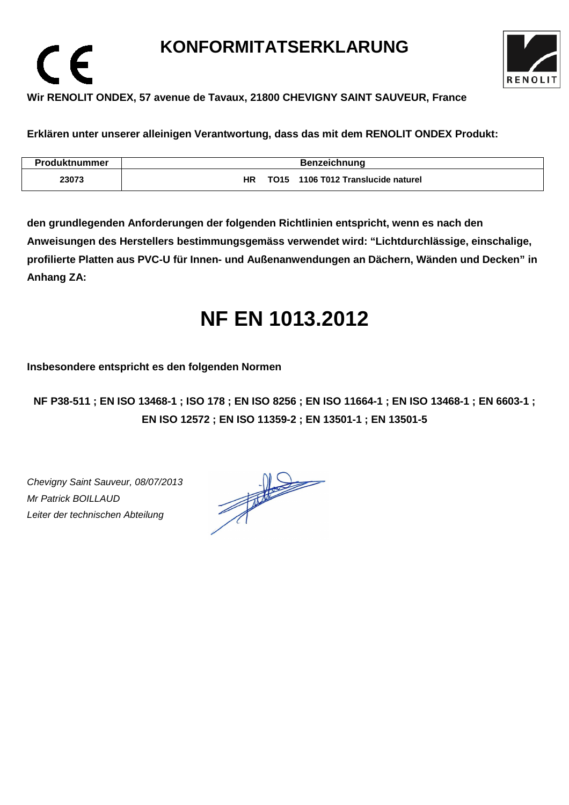# **KONFORMITATSERKLARUNG**



### **Wir RENOLIT ONDEX, 57 avenue de Tavaux, 21800 CHEVIGNY SAINT SAUVEUR, France**

**Erklären unter unserer alleinigen Verantwortung, dass das mit dem RENOLIT ONDEX Produkt:** 

| Produktnummer | <b>Benzeichnung</b>                         |
|---------------|---------------------------------------------|
| 23073         | 1106 T012 Translucide naturel<br>ΗR<br>TO15 |

**den grundlegenden Anforderungen der folgenden Richtlinien entspricht, wenn es nach den Anweisungen des Herstellers bestimmungsgemäss verwendet wird: "Lichtdurchlässige, einschalige, profilierte Platten aus PVC-U für Innen- und Außenanwendungen an Dächern, Wänden und Decken" in Anhang ZA:** 

# **NF EN 1013.2012**

**Insbesondere entspricht es den folgenden Normen** 

**NF P38-511 ; EN ISO 13468-1 ; ISO 178 ; EN ISO 8256 ; EN ISO 11664-1 ; EN ISO 13468-1 ; EN 6603-1 ; EN ISO 12572 ; EN ISO 11359-2 ; EN 13501-1 ; EN 13501-5**

Chevigny Saint Sauveur, 08/07/2013 Mr Patrick BOILLAUD Leiter der technischen Abteilung

 $\epsilon$ 

 $\frac{1}{\sqrt{2}}$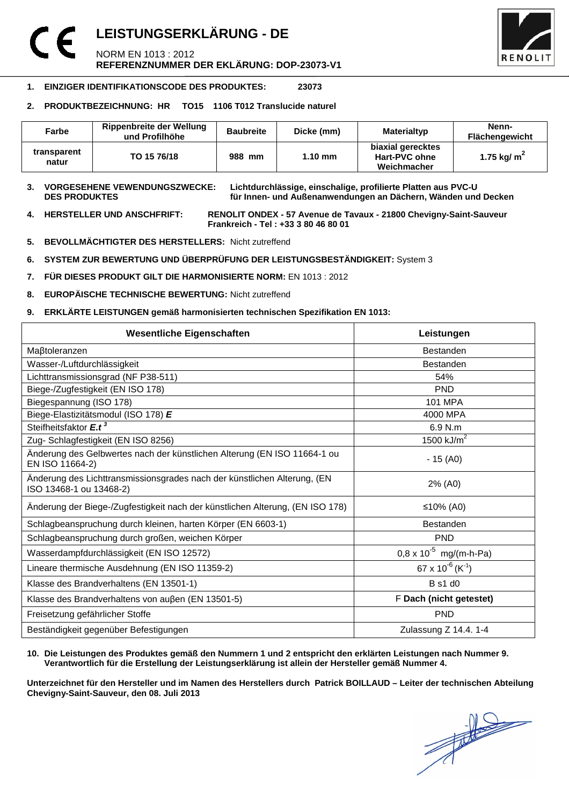### **LEISTUNGSERKLÄRUNG - DE**  NORM EN 1013 : 2012 **REFERENZNUMMER DER EKLÄRUNG: DOP-23073-V1**



#### **1. EINZIGER IDENTIFIKATIONSCODE DES PRODUKTES: 23073**

#### **2. PRODUKTBEZEICHNUNG: HR TO15 1106 T012 Translucide naturel**

| Farbe                | Rippenbreite der Wellung<br>und Profilhöhe | <b>Baubreite</b> | Dicke (mm)        | Materialtyp                                       | Nenn-<br><b>Flächengewicht</b> |
|----------------------|--------------------------------------------|------------------|-------------------|---------------------------------------------------|--------------------------------|
| transparent<br>natur | TO 15 76/18                                | 988 mm           | $1.10 \text{ mm}$ | biaxial gerecktes<br>Hart-PVC ohne<br>Weichmacher | 1.75 kg/ $m2$                  |

**3. VORGESEHENE VEWENDUNGSZWECKE: Lichtdurchlässige, einschalige, profilierte Platten aus PVC-U**  für Innen- und Außenanwendungen an Dächern, Wänden und Decken

**4. HERSTELLER UND ANSCHFRIFT: RENOLIT ONDEX - 57 Avenue de Tavaux - 21800 Chevigny-Saint-Sauveur Frankreich - Tel : +33 3 80 46 80 01** 

- **5. BEVOLLMÄCHTIGTER DES HERSTELLERS:** Nicht zutreffend
- **6. SYSTEM ZUR BEWERTUNG UND ÜBERPRÜFUNG DER LEISTUNGSBESTÄNDIGKEIT:** System 3
- **7. FÜR DIESES PRODUKT GILT DIE HARMONISIERTE NORM:** EN 1013 : 2012
- **8. EUROPÄISCHE TECHNISCHE BEWERTUNG:** Nicht zutreffend
- **9. ERKLÄRTE LEISTUNGEN gemäß harmonisierten technischen Spezifikation EN 1013:**

| <b>Wesentliche Eigenschaften</b>                                                                    | Leistungen                               |  |
|-----------------------------------------------------------------------------------------------------|------------------------------------------|--|
| Maßtoleranzen                                                                                       | <b>Bestanden</b>                         |  |
| Wasser-/Luftdurchlässigkeit                                                                         | <b>Bestanden</b>                         |  |
| Lichttransmissionsgrad (NF P38-511)                                                                 | 54%                                      |  |
| Biege-/Zugfestigkeit (EN ISO 178)                                                                   | <b>PND</b>                               |  |
| Biegespannung (ISO 178)                                                                             | <b>101 MPA</b>                           |  |
| Biege-Elastizitätsmodul (ISO 178) E                                                                 | 4000 MPA                                 |  |
| Steifheitsfaktor E.t <sup>3</sup>                                                                   | 6.9 N.m                                  |  |
| Zug- Schlagfestigkeit (EN ISO 8256)                                                                 | 1500 $kJ/m2$                             |  |
| Änderung des Gelbwertes nach der künstlichen Alterung (EN ISO 11664-1 ou<br>EN ISO 11664-2)         | $-15(40)$                                |  |
| Änderung des Lichttransmissionsgrades nach der künstlichen Alterung, (EN<br>ISO 13468-1 ou 13468-2) | 2% (A0)                                  |  |
| Änderung der Biege-/Zugfestigkeit nach der künstlichen Alterung, (EN ISO 178)                       | ≤10% (A0)                                |  |
| Schlagbeanspruchung durch kleinen, harten Körper (EN 6603-1)                                        | <b>Bestanden</b>                         |  |
| Schlagbeanspruchung durch großen, weichen Körper                                                    | <b>PND</b>                               |  |
| Wasserdampfdurchlässigkeit (EN ISO 12572)                                                           | $0.8 \times 10^{-5}$ mg/(m-h-Pa)         |  |
| Lineare thermische Ausdehnung (EN ISO 11359-2)                                                      | 67 x 10 <sup>-6</sup> (K <sup>-1</sup> ) |  |
| Klasse des Brandverhaltens (EN 13501-1)                                                             | <b>B</b> s1 d0                           |  |
| Klasse des Brandverhaltens von außen (EN 13501-5)                                                   | F Dach (nicht getestet)                  |  |
| Freisetzung gefährlicher Stoffe                                                                     | <b>PND</b>                               |  |
| Beständigkeit gegenüber Befestigungen                                                               | Zulassung Z 14.4. 1-4                    |  |

#### **10. Die Leistungen des Produktes gemäß den Nummern 1 und 2 entspricht den erklärten Leistungen nach Nummer 9. Verantwortlich für die Erstellung der Leistungserklärung ist allein der Hersteller gemäß Nummer 4.**

**Unterzeichnet für den Hersteller und im Namen des Herstellers durch Patrick BOILLAUD – Leiter der technischen Abteilung Chevigny-Saint-Sauveur, den 08. Juli 2013**

 $\frac{1}{\sqrt{2}}$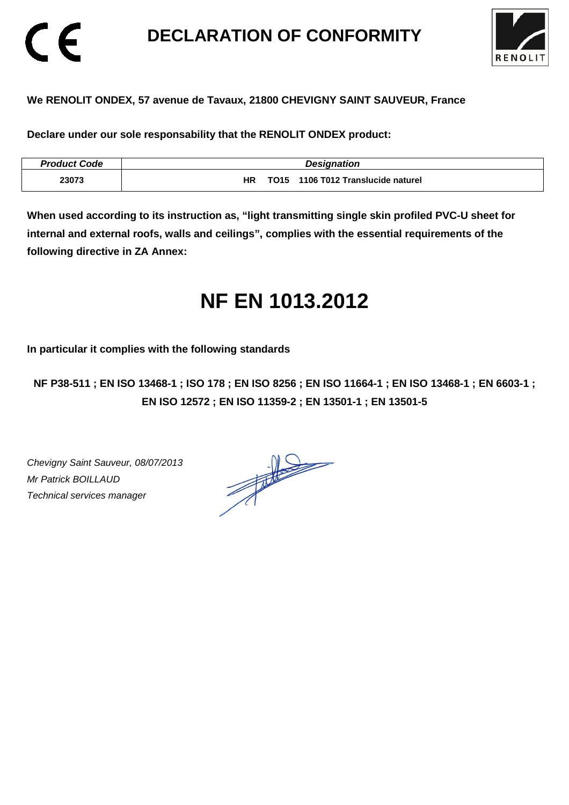# **DECLARATION OF CONFORMITY**



### **We RENOLIT ONDEX, 57 avenue de Tavaux, 21800 CHEVIGNY SAINT SAUVEUR, France**

**Declare under our sole responsability that the RENOLIT ONDEX product:** 

| <b>Product Code</b> | <b>Designation</b>                              |
|---------------------|-------------------------------------------------|
| 23073               | <b>HR</b><br>TO15 1106 T012 Translucide naturel |

**When used according to its instruction as, "light transmitting single skin profiled PVC-U sheet for internal and external roofs, walls and ceilings", complies with the essential requirements of the following directive in ZA Annex:** 

# **NF EN 1013.2012**

**In particular it complies with the following standards** 

**NF P38-511 ; EN ISO 13468-1 ; ISO 178 ; EN ISO 8256 ; EN ISO 11664-1 ; EN ISO 13468-1 ; EN 6603-1 ; EN ISO 12572 ; EN ISO 11359-2 ; EN 13501-1 ; EN 13501-5**

Chevigny Saint Sauveur, 08/07/2013 Mr Patrick BOILLAUD Technical services manager

CE

 $\frac{1}{\sqrt{2}}$